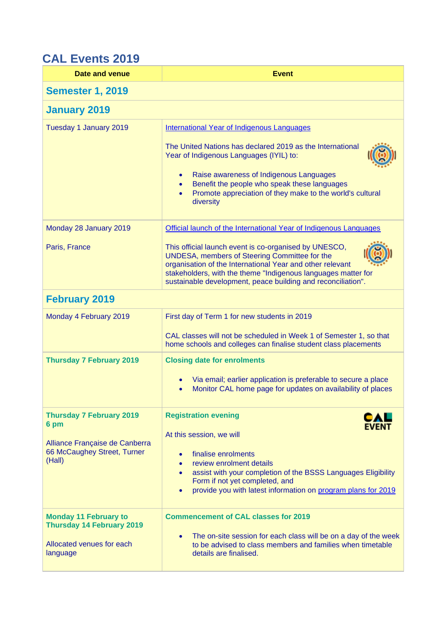## **CAL Events 2019**

| Date and venue                                                          | <b>Event</b>                                                                                                                                                                                                                                                                                         |
|-------------------------------------------------------------------------|------------------------------------------------------------------------------------------------------------------------------------------------------------------------------------------------------------------------------------------------------------------------------------------------------|
| <b>Semester 1, 2019</b>                                                 |                                                                                                                                                                                                                                                                                                      |
| <b>January 2019</b>                                                     |                                                                                                                                                                                                                                                                                                      |
| Tuesday 1 January 2019                                                  | International Year of Indigenous Languages                                                                                                                                                                                                                                                           |
|                                                                         | The United Nations has declared 2019 as the International<br>Year of Indigenous Languages (IYIL) to:                                                                                                                                                                                                 |
|                                                                         | Raise awareness of Indigenous Languages<br>$\bullet$<br>Benefit the people who speak these languages<br>Promote appreciation of they make to the world's cultural<br>diversity                                                                                                                       |
| Monday 28 January 2019                                                  | Official launch of the International Year of Indigenous Languages                                                                                                                                                                                                                                    |
| Paris, France                                                           | This official launch event is co-organised by UNESCO,<br>UNDESA, members of Steering Committee for the<br>organisation of the International Year and other relevant<br>stakeholders, with the theme "Indigenous languages matter for<br>sustainable development, peace building and reconciliation". |
| <b>February 2019</b>                                                    |                                                                                                                                                                                                                                                                                                      |
| Monday 4 February 2019                                                  | First day of Term 1 for new students in 2019                                                                                                                                                                                                                                                         |
|                                                                         | CAL classes will not be scheduled in Week 1 of Semester 1, so that<br>home schools and colleges can finalise student class placements                                                                                                                                                                |
| <b>Thursday 7 February 2019</b>                                         | <b>Closing date for enrolments</b>                                                                                                                                                                                                                                                                   |
|                                                                         | Via email; earlier application is preferable to secure a place<br>Monitor CAL home page for updates on availability of places                                                                                                                                                                        |
| <b>Thursday 7 February 2019</b><br>6 pm                                 | <b>Registration evening</b>                                                                                                                                                                                                                                                                          |
|                                                                         | At this session, we will                                                                                                                                                                                                                                                                             |
| Alliance Française de Canberra<br>66 McCaughey Street, Turner<br>(Hall) | finalise enrolments                                                                                                                                                                                                                                                                                  |
|                                                                         | review enrolment details<br>assist with your completion of the BSSS Languages Eligibility<br>$\bullet$                                                                                                                                                                                               |
|                                                                         | Form if not yet completed, and<br>provide you with latest information on program plans for 2019<br>$\bullet$                                                                                                                                                                                         |
| <b>Monday 11 February to</b><br><b>Thursday 14 February 2019</b>        | <b>Commencement of CAL classes for 2019</b>                                                                                                                                                                                                                                                          |
| Allocated venues for each<br>language                                   | The on-site session for each class will be on a day of the week<br>$\bullet$<br>to be advised to class members and families when timetable<br>details are finalised.                                                                                                                                 |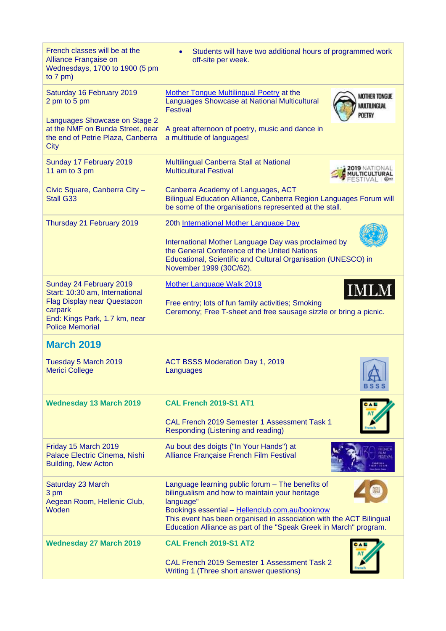| French classes will be at the<br>Alliance Française on<br>Wednesdays, 1700 to 1900 (5 pm<br>to $7$ pm)                                                                | Students will have two additional hours of programmed work<br>$\bullet$<br>off-site per week.                                                                                                                                                                                                                 |
|-----------------------------------------------------------------------------------------------------------------------------------------------------------------------|---------------------------------------------------------------------------------------------------------------------------------------------------------------------------------------------------------------------------------------------------------------------------------------------------------------|
| Saturday 16 February 2019<br>2 pm to 5 pm<br>Languages Showcase on Stage 2<br>at the NMF on Bunda Street, near<br>the end of Petrie Plaza, Canberra                   | Mother Tongue Multilingual Poetry at the<br><b>MOTHER TONGUE</b><br>Languages Showcase at National Multicultural<br>MULTILINGUAL<br>Festival<br><b>POETRY</b><br>A great afternoon of poetry, music and dance in<br>a multitude of languages!                                                                 |
| <b>City</b><br>Sunday 17 February 2019<br>11 am to 3 pm<br>Civic Square, Canberra City -<br><b>Stall G33</b>                                                          | Multilingual Canberra Stall at National<br><b>Multicultural Festival</b><br>Canberra Academy of Languages, ACT<br>Bilingual Education Alliance, Canberra Region Languages Forum will                                                                                                                          |
| Thursday 21 February 2019                                                                                                                                             | be some of the organisations represented at the stall.<br>20th International Mother Language Day<br>International Mother Language Day was proclaimed by<br>the General Conference of the United Nations<br>Educational, Scientific and Cultural Organisation (UNESCO) in<br>November 1999 (30C/62).           |
| Sunday 24 February 2019<br>Start: 10:30 am, International<br><b>Flag Display near Questacon</b><br>carpark<br>End: Kings Park, 1.7 km, near<br><b>Police Memorial</b> | Mother Language Walk 2019<br>IMLM<br>Free entry; lots of fun family activities; Smoking<br>Ceremony; Free T-sheet and free sausage sizzle or bring a picnic.                                                                                                                                                  |
| <b>March 2019</b>                                                                                                                                                     |                                                                                                                                                                                                                                                                                                               |
| Tuesday 5 March 2019<br><b>Merici College</b>                                                                                                                         | ACT BSSS Moderation Day 1, 2019<br>Languages<br>™₩<br><b>BSSS</b>                                                                                                                                                                                                                                             |
| <b>Wednesday 13 March 2019</b>                                                                                                                                        | CAL French 2019-S1 AT1<br>CAL French 2019 Semester 1 Assessment Task 1<br>Responding (Listening and reading)                                                                                                                                                                                                  |
| Friday 15 March 2019<br>Palace Electric Cinema, Nishi<br><b>Building, New Acton</b>                                                                                   | Au bout des doigts ("In Your Hands") at<br>Alliance Française French Film Festival                                                                                                                                                                                                                            |
| Saturday 23 March<br>3 pm<br>Aegean Room, Hellenic Club,<br>Woden                                                                                                     | Language learning public forum - The benefits of<br>bilingualism and how to maintain your heritage<br>language"<br>Bookings essential - Hellenclub.com.au/booknow<br>This event has been organised in association with the ACT Bilingual<br>Education Alliance as part of the "Speak Greek in March" program. |
| <b>Wednesday 27 March 2019</b>                                                                                                                                        | CAL French 2019-S1 AT2<br>CAL French 2019 Semester 1 Assessment Task 2<br>Writing 1 (Three short answer questions)                                                                                                                                                                                            |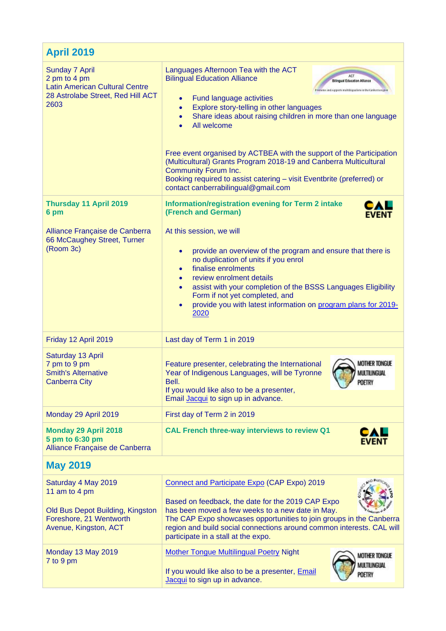| <b>April 2019</b>                                                                                                            |                                                                                                                                                                                                                                                                                                                                                                                                                                                                                                                                                                                                                                                                            |
|------------------------------------------------------------------------------------------------------------------------------|----------------------------------------------------------------------------------------------------------------------------------------------------------------------------------------------------------------------------------------------------------------------------------------------------------------------------------------------------------------------------------------------------------------------------------------------------------------------------------------------------------------------------------------------------------------------------------------------------------------------------------------------------------------------------|
| Sunday 7 April<br>2 pm to 4 pm<br><b>Latin American Cultural Centre</b><br>28 Astrolabe Street, Red Hill ACT<br>2603         | Languages Afternoon Tea with the ACT<br><b>Bilingual Education Alliance</b><br><b>Bilingual Education Alliance</b><br>Promotos and exports mainlinguation in the Canborra region<br>Fund language activities<br>$\bullet$<br>Explore story-telling in other languages<br>$\bullet$<br>Share ideas about raising children in more than one language<br>$\bullet$<br>All welcome<br>Free event organised by ACTBEA with the support of the Participation<br>(Multicultural) Grants Program 2018-19 and Canberra Multicultural<br><b>Community Forum Inc.</b><br>Booking required to assist catering - visit Eventbrite (preferred) or<br>contact canberrabilingual@gmail.com |
| <b>Thursday 11 April 2019</b><br>6 pm                                                                                        | <b>Information/registration evening for Term 2 intake</b><br>(French and German)<br><b>EVENT</b>                                                                                                                                                                                                                                                                                                                                                                                                                                                                                                                                                                           |
| Alliance Française de Canberra<br>66 McCaughey Street, Turner<br>(Room 3c)                                                   | At this session, we will<br>provide an overview of the program and ensure that there is<br>$\bullet$<br>no duplication of units if you enrol<br>finalise enrolments<br>$\bullet$<br>review enrolment details<br>assist with your completion of the BSSS Languages Eligibility<br>$\bullet$<br>Form if not yet completed, and<br>provide you with latest information on program plans for 2019-<br>$\bullet$<br>2020                                                                                                                                                                                                                                                        |
| Friday 12 April 2019                                                                                                         | Last day of Term 1 in 2019                                                                                                                                                                                                                                                                                                                                                                                                                                                                                                                                                                                                                                                 |
| Saturday 13 April<br>7 pm to 9 pm<br><b>Smith's Alternative</b><br><b>Canberra City</b>                                      | <b>MOTHER TONGUE</b><br>Feature presenter, celebrating the International<br>Year of Indigenous Languages, will be Tyronne<br>MULTILINGUAL<br>Bell.<br>POETRY<br>If you would like also to be a presenter,<br>Email Jacqui to sign up in advance.                                                                                                                                                                                                                                                                                                                                                                                                                           |
| Monday 29 April 2019                                                                                                         | First day of Term 2 in 2019                                                                                                                                                                                                                                                                                                                                                                                                                                                                                                                                                                                                                                                |
| <b>Monday 29 April 2018</b><br>5 pm to 6:30 pm<br>Alliance Française de Canberra                                             | <b>CAL French three-way interviews to review Q1</b><br>CAL<br><b>EVENT</b>                                                                                                                                                                                                                                                                                                                                                                                                                                                                                                                                                                                                 |
| <b>May 2019</b>                                                                                                              |                                                                                                                                                                                                                                                                                                                                                                                                                                                                                                                                                                                                                                                                            |
| Saturday 4 May 2019<br>11 am to 4 pm<br>Old Bus Depot Building, Kingston<br>Foreshore, 21 Wentworth<br>Avenue, Kingston, ACT | Connect and Participate Expo (CAP Expo) 2019<br>Based on feedback, the date for the 2019 CAP Expo<br>has been moved a few weeks to a new date in May.<br>The CAP Expo showcases opportunities to join groups in the Canberra<br>region and build social connections around common interests. CAL will<br>participate in a stall at the expo.                                                                                                                                                                                                                                                                                                                               |
| Monday 13 May 2019<br>7 to 9 pm                                                                                              | <b>Mother Tongue Multilingual Poetry Night</b><br><b>MOTHER TONGUE</b><br>MULTILINGUAL<br>If you would like also to be a presenter, Email<br>POETRY<br>Jacqui to sign up in advance.                                                                                                                                                                                                                                                                                                                                                                                                                                                                                       |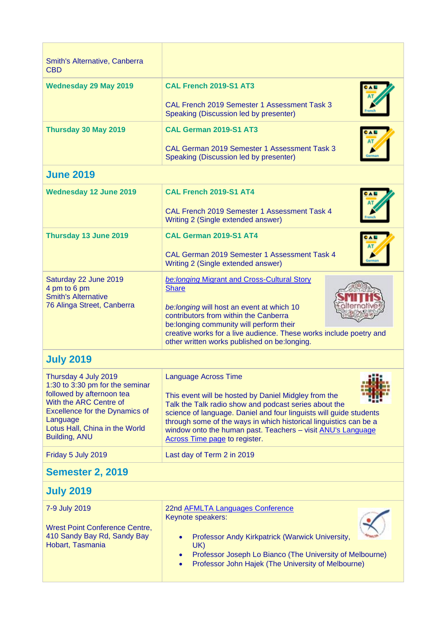| Smith's Alternative, Canberra<br><b>CBD</b>                                                                                                                                                                                   |                                                                                                                                                                                                                                                                                                                                                                                         |
|-------------------------------------------------------------------------------------------------------------------------------------------------------------------------------------------------------------------------------|-----------------------------------------------------------------------------------------------------------------------------------------------------------------------------------------------------------------------------------------------------------------------------------------------------------------------------------------------------------------------------------------|
| <b>Wednesday 29 May 2019</b>                                                                                                                                                                                                  | <b>CAL French 2019-S1 AT3</b>                                                                                                                                                                                                                                                                                                                                                           |
|                                                                                                                                                                                                                               | CAL French 2019 Semester 1 Assessment Task 3<br>Speaking (Discussion led by presenter)                                                                                                                                                                                                                                                                                                  |
| Thursday 30 May 2019                                                                                                                                                                                                          | CAL German 2019-S1 AT3                                                                                                                                                                                                                                                                                                                                                                  |
|                                                                                                                                                                                                                               | <b>CAL German 2019 Semester 1 Assessment Task 3</b><br>Speaking (Discussion led by presenter)                                                                                                                                                                                                                                                                                           |
| <b>June 2019</b>                                                                                                                                                                                                              |                                                                                                                                                                                                                                                                                                                                                                                         |
| <b>Wednesday 12 June 2019</b>                                                                                                                                                                                                 | CAL French 2019-S1 AT4                                                                                                                                                                                                                                                                                                                                                                  |
|                                                                                                                                                                                                                               | CAL French 2019 Semester 1 Assessment Task 4<br>Writing 2 (Single extended answer)                                                                                                                                                                                                                                                                                                      |
| Thursday 13 June 2019                                                                                                                                                                                                         | CAL German 2019-S1 AT4                                                                                                                                                                                                                                                                                                                                                                  |
|                                                                                                                                                                                                                               | <b>CAL German 2019 Semester 1 Assessment Task 4</b><br>Writing 2 (Single extended answer)                                                                                                                                                                                                                                                                                               |
| Saturday 22 June 2019<br>4 pm to 6 pm<br><b>Smith's Alternative</b><br>76 Alinga Street, Canberra                                                                                                                             | be: longing Migrant and Cross-Cultural Story<br><b>Share</b><br>be: longing will host an event at which 10<br>contributors from within the Canberra<br>be:longing community will perform their<br>creative works for a live audience. These works include poetry and<br>other written works published on be:longing.                                                                    |
| <b>July 2019</b>                                                                                                                                                                                                              |                                                                                                                                                                                                                                                                                                                                                                                         |
| Thursday 4 July 2019<br>1:30 to 3:30 pm for the seminar<br>followed by afternoon tea<br>With the ARC Centre of<br><b>Excellence for the Dynamics of</b><br>Language<br>Lotus Hall, China in the World<br><b>Building, ANU</b> | <b>Language Across Time</b><br>This event will be hosted by Daniel Midgley from the<br>Talk the Talk radio show and podcast series about the<br>science of language. Daniel and four linguists will guide students<br>through some of the ways in which historical linguistics can be a<br>window onto the human past. Teachers - visit ANU's Language<br>Across Time page to register. |
| Friday 5 July 2019                                                                                                                                                                                                            | Last day of Term 2 in 2019                                                                                                                                                                                                                                                                                                                                                              |
| <b>Semester 2, 2019</b>                                                                                                                                                                                                       |                                                                                                                                                                                                                                                                                                                                                                                         |
| <b>July 2019</b>                                                                                                                                                                                                              |                                                                                                                                                                                                                                                                                                                                                                                         |
| 7-9 July 2019<br><b>Wrest Point Conference Centre,</b><br>410 Sandy Bay Rd, Sandy Bay<br>Hobart, Tasmania                                                                                                                     | 22nd AFMLTA Languages Conference<br>Keynote speakers:<br>Professor Andy Kirkpatrick (Warwick University,<br>$\bullet$<br>UK)<br>Professor Joseph Lo Bianco (The University of Melbourne)<br>Professor John Hajek (The University of Melbourne)                                                                                                                                          |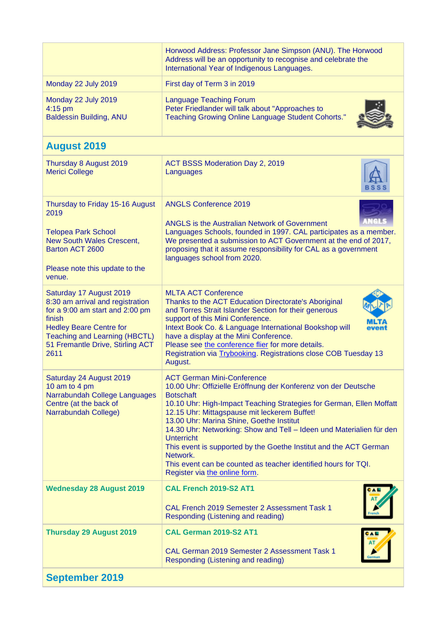|                                                                                                                                                                                                                                | Horwood Address: Professor Jane Simpson (ANU). The Horwood<br>Address will be an opportunity to recognise and celebrate the<br>International Year of Indigenous Languages.                                                                                                                                                                                                                                                                                                                                                                                                   |
|--------------------------------------------------------------------------------------------------------------------------------------------------------------------------------------------------------------------------------|------------------------------------------------------------------------------------------------------------------------------------------------------------------------------------------------------------------------------------------------------------------------------------------------------------------------------------------------------------------------------------------------------------------------------------------------------------------------------------------------------------------------------------------------------------------------------|
| Monday 22 July 2019                                                                                                                                                                                                            | First day of Term 3 in 2019                                                                                                                                                                                                                                                                                                                                                                                                                                                                                                                                                  |
| Monday 22 July 2019<br>4:15 pm<br><b>Baldessin Building, ANU</b>                                                                                                                                                               | <b>Language Teaching Forum</b><br>Peter Friedlander will talk about "Approaches to<br><b>Teaching Growing Online Language Student Cohorts."</b>                                                                                                                                                                                                                                                                                                                                                                                                                              |
| <b>August 2019</b>                                                                                                                                                                                                             |                                                                                                                                                                                                                                                                                                                                                                                                                                                                                                                                                                              |
| Thursday 8 August 2019<br><b>Merici College</b>                                                                                                                                                                                | ACT BSSS Moderation Day 2, 2019<br>Languages                                                                                                                                                                                                                                                                                                                                                                                                                                                                                                                                 |
| Thursday to Friday 15-16 August<br>2019<br><b>Telopea Park School</b><br><b>New South Wales Crescent.</b><br>Barton ACT 2600<br>Please note this update to the<br>venue.                                                       | <b>ANGLS Conference 2019</b><br><b>ANGLS is the Australian Network of Government</b><br>Languages Schools, founded in 1997. CAL participates as a member.<br>We presented a submission to ACT Government at the end of 2017,<br>proposing that it assume responsibility for CAL as a government<br>languages school from 2020.                                                                                                                                                                                                                                               |
| Saturday 17 August 2019<br>8:30 am arrival and registration<br>for a 9:00 am start and 2:00 pm<br>finish<br><b>Hedley Beare Centre for</b><br><b>Teaching and Learning (HBCTL)</b><br>51 Fremantle Drive, Stirling ACT<br>2611 | <b>MLTA ACT Conference</b><br>Thanks to the ACT Education Directorate's Aboriginal<br>and Torres Strait Islander Section for their generous<br>support of this Mini Conference.<br>Intext Book Co. & Language International Bookshop will<br>have a display at the Mini Conference.<br>Please see the conference flier for more details.<br>Registration via Trybooking. Registrations close COB Tuesday 13<br>August.                                                                                                                                                       |
| Saturday 24 August 2019<br>10 am to 4 pm<br>Narrabundah College Languages<br>Centre (at the back of<br>Narrabundah College)                                                                                                    | <b>ACT German Mini-Conference</b><br>10.00 Uhr: Offizielle Eröffnung der Konferenz von der Deutsche<br><b>Botschaft</b><br>10.10 Uhr: High-Impact Teaching Strategies for German, Ellen Moffatt<br>12.15 Uhr: Mittagspause mit leckerem Buffet!<br>13.00 Uhr: Marina Shine, Goethe Institut<br>14.30 Uhr: Networking: Show and Tell - Ideen und Materialien für den<br><b>Unterricht</b><br>This event is supported by the Goethe Institut and the ACT German<br>Network.<br>This event can be counted as teacher identified hours for TQI.<br>Register via the online form. |
| <b>Wednesday 28 August 2019</b>                                                                                                                                                                                                | CAL French 2019-S2 AT1<br>CAL French 2019 Semester 2 Assessment Task 1<br>Responding (Listening and reading)                                                                                                                                                                                                                                                                                                                                                                                                                                                                 |
| <b>Thursday 29 August 2019</b>                                                                                                                                                                                                 | CAL German 2019-S2 AT1<br>CAL German 2019 Semester 2 Assessment Task 1<br>Responding (Listening and reading)                                                                                                                                                                                                                                                                                                                                                                                                                                                                 |
| <b>September 2019</b>                                                                                                                                                                                                          |                                                                                                                                                                                                                                                                                                                                                                                                                                                                                                                                                                              |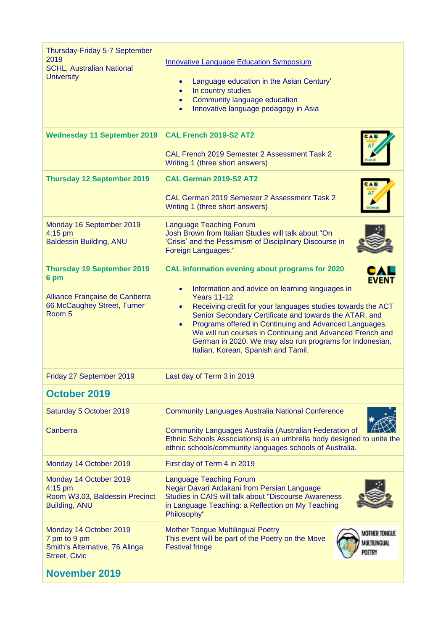| Thursday-Friday 5-7 September<br>2019<br><b>SCHL, Australian National</b><br><b>University</b>                       | <b>Innovative Language Education Symposium</b><br>Language education in the Asian Century'<br>$\bullet$<br>In country studies<br>$\bullet$<br>Community language education<br>$\bullet$<br>Innovative language pedagogy in Asia<br>$\bullet$                                                                                                                                                                                                                                                                                       |
|----------------------------------------------------------------------------------------------------------------------|------------------------------------------------------------------------------------------------------------------------------------------------------------------------------------------------------------------------------------------------------------------------------------------------------------------------------------------------------------------------------------------------------------------------------------------------------------------------------------------------------------------------------------|
| <b>Wednesday 11 September 2019</b>                                                                                   | CAL French 2019-S2 AT2<br>CAL French 2019 Semester 2 Assessment Task 2<br>Writing 1 (three short answers)                                                                                                                                                                                                                                                                                                                                                                                                                          |
| <b>Thursday 12 September 2019</b>                                                                                    | CAL German 2019-S2 AT2<br>CAL German 2019 Semester 2 Assessment Task 2<br>Writing 1 (three short answers)                                                                                                                                                                                                                                                                                                                                                                                                                          |
| Monday 16 September 2019<br>4:15 pm<br><b>Baldessin Building, ANU</b>                                                | <b>Language Teaching Forum</b><br>Josh Brown from Italian Studies will talk about "On<br>'Crisis' and the Pessimism of Disciplinary Discourse in<br><b>Foreign Languages."</b>                                                                                                                                                                                                                                                                                                                                                     |
| <b>Thursday 19 September 2019</b><br>6 pm<br>Alliance Française de Canberra<br>66 McCaughey Street, Turner<br>Room 5 | CAL information evening about programs for 2020<br><b>EVENT</b><br>Information and advice on learning languages in<br>$\bullet$<br><b>Years 11-12</b><br>Receiving credit for your languages studies towards the ACT<br>$\bullet$<br>Senior Secondary Certificate and towards the ATAR, and<br>Programs offered in Continuing and Advanced Languages.<br>$\bullet$<br>We will run courses in Continuing and Advanced French and<br>German in 2020. We may also run programs for Indonesian,<br>Italian, Korean, Spanish and Tamil. |
| Friday 27 September 2019                                                                                             | Last day of Term 3 in 2019                                                                                                                                                                                                                                                                                                                                                                                                                                                                                                         |
| October 2019                                                                                                         |                                                                                                                                                                                                                                                                                                                                                                                                                                                                                                                                    |
| Saturday 5 October 2019<br>Canberra                                                                                  | <b>Community Languages Australia National Conference</b><br>Community Languages Australia (Australian Federation of<br>Ethnic Schools Associations) is an umbrella body designed to unite the<br>ethnic schools/community languages schools of Australia.                                                                                                                                                                                                                                                                          |
| Monday 14 October 2019                                                                                               | First day of Term 4 in 2019                                                                                                                                                                                                                                                                                                                                                                                                                                                                                                        |
| Monday 14 October 2019<br>4:15 pm<br>Room W3.03, Baldessin Precinct<br>Building, ANU                                 | <b>Language Teaching Forum</b><br>Negar Davari Ardakani from Persian Language<br>Studies in CAIS will talk about "Discourse Awareness<br>in Language Teaching: a Reflection on My Teaching<br>Philosophy"                                                                                                                                                                                                                                                                                                                          |
| Monday 14 October 2019<br>7 pm to 9 pm<br>Smith's Alternative, 76 Alinga<br><b>Street, Civic</b>                     | <b>Mother Tongue Multilingual Poetry</b><br><b>MOTHER TONGUE</b><br>This event will be part of the Poetry on the Move<br>MULTILINGUAL<br><b>Festival fringe</b><br><b>POETRY</b>                                                                                                                                                                                                                                                                                                                                                   |
| <b>November 2019</b>                                                                                                 |                                                                                                                                                                                                                                                                                                                                                                                                                                                                                                                                    |